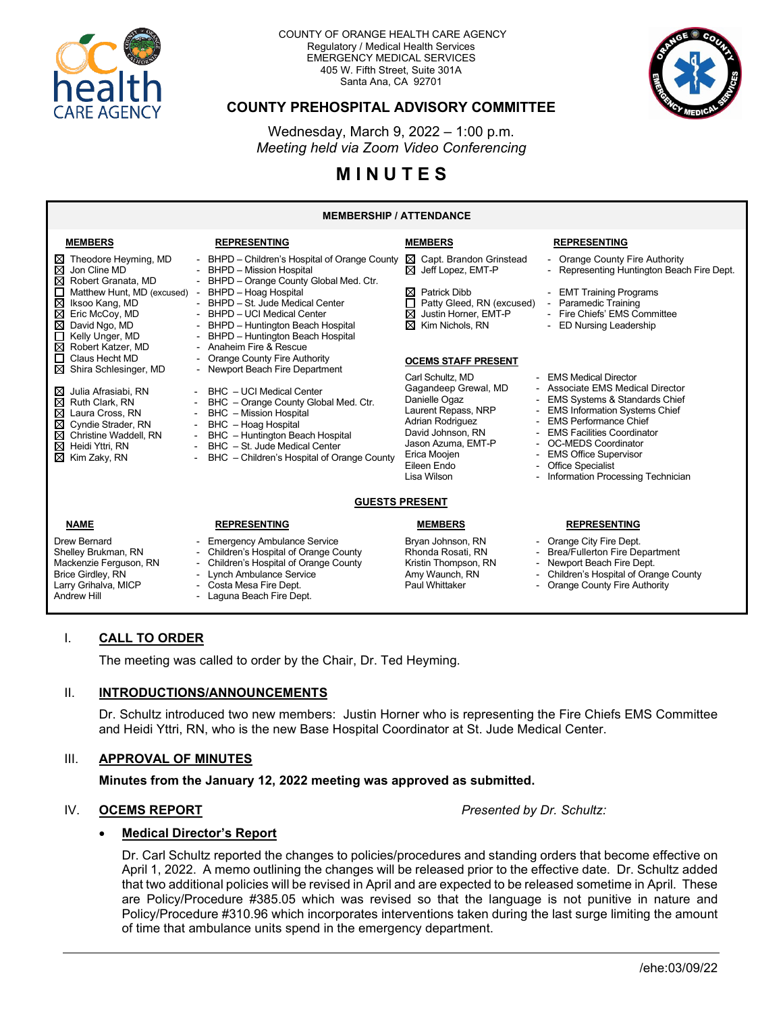

#### COUNTY OF ORANGE HEALTH CARE AGENCY Regulatory / Medical Health Services EMERGENCY MEDICAL SERVICES 405 W. Fifth Street, Suite 301A Santa Ana, CA 92701



## **COUNTY PREHOSPITAL ADVISORY COMMITTEE**

Wednesday, March 9, 2022 – 1:00 p.m. *Meeting held via Zoom Video Conferencing*

# **M I N U T E S**

#### **MEMBERSHIP / ATTENDANCE**

| <b>MEMBERS</b>                                                                                                                                                                                              | <b>REPRESENTING</b>                                                                                                                                                                                                                                                           | <b>MEMBERS</b>                                                                                                                                                                                                  | <b>REPRESENTING</b>                                                                                                                                                                                                                                                                                                                                     |
|-------------------------------------------------------------------------------------------------------------------------------------------------------------------------------------------------------------|-------------------------------------------------------------------------------------------------------------------------------------------------------------------------------------------------------------------------------------------------------------------------------|-----------------------------------------------------------------------------------------------------------------------------------------------------------------------------------------------------------------|---------------------------------------------------------------------------------------------------------------------------------------------------------------------------------------------------------------------------------------------------------------------------------------------------------------------------------------------------------|
| Theodore Heyming, MD<br>⊠<br>$\boxtimes$ Jon Cline MD<br>⊠<br>Robert Granata, MD                                                                                                                            | - BHPD - Children's Hospital of Orange County<br>- BHPD - Mission Hospital                                                                                                                                                                                                    | $\boxtimes$ Capt. Brandon Grinstead<br>$\boxtimes$ Jeff Lopez, EMT-P                                                                                                                                            | - Orange County Fire Authority<br>- Representing Huntington Beach Fire Dept.                                                                                                                                                                                                                                                                            |
| Matthew Hunt, MD (excused)<br>⊠<br>Iksoo Kang, MD<br>⊠<br>Eric McCoy, MD<br>⊠<br>David Ngo, MD<br>Kelly Unger, MD<br>Robert Katzer, MD<br>⊠                                                                 | - BHPD - Orange County Global Med. Ctr.<br>BHPD - Hoag Hospital<br>- BHPD - St. Jude Medical Center<br>- BHPD - UCI Medical Center<br>BHPD - Huntington Beach Hospital<br>- BHPD - Huntington Beach Hospital<br>- Anaheim Fire & Rescue                                       | <b>Patrick Dibb</b><br>⋈<br>Patty Gleed, RN (excused)<br>⊠<br>Justin Horner, EMT-P<br>⊠<br>Kim Nichols, RN                                                                                                      | - EMT Training Programs<br>- Paramedic Training<br>- Fire Chiefs' EMS Committee<br><b>ED Nursing Leadership</b>                                                                                                                                                                                                                                         |
| Claus Hecht MD                                                                                                                                                                                              | - Orange County Fire Authority                                                                                                                                                                                                                                                | <b>OCEMS STAFF PRESENT</b>                                                                                                                                                                                      |                                                                                                                                                                                                                                                                                                                                                         |
| ⊠<br>Shira Schlesinger, MD<br>Julia Afrasiabi, RN<br>⋈<br>⊠<br>Ruth Clark, RN<br>Laura Cross, RN<br>⊠<br>⊠<br>Cyndie Strader, RN<br>⊠<br>Christine Waddell, RN<br>⊠<br>Heidi Yttri, RN<br>⊠<br>Kim Zaky, RN | - Newport Beach Fire Department<br>BHC - UCI Medical Center<br>BHC - Orange County Global Med. Ctr.<br><b>BHC</b> - Mission Hospital<br>BHC - Hoag Hospital<br>BHC - Huntington Beach Hospital<br>BHC - St. Jude Medical Center<br>BHC - Children's Hospital of Orange County | Carl Schultz, MD<br>Gagandeep Grewal, MD<br>Danielle Ogaz<br>Laurent Repass, NRP<br>Adrian Rodriguez<br>David Johnson, RN<br>Jason Azuma, EMT-P<br>$\blacksquare$<br>Erica Moojen<br>Eileen Endo<br>Lisa Wilson | <b>EMS Medical Director</b><br>- Associate EMS Medical Director<br><b>EMS Systems &amp; Standards Chief</b><br><b>EMS Information Systems Chief</b><br><b>EMS Performance Chief</b><br><b>EMS Facilities Coordinator</b><br><b>OC-MEDS Coordinator</b><br><b>EMS Office Supervisor</b><br><b>Office Specialist</b><br>Information Processing Technician |
| <b>GUESTS PRESENT</b>                                                                                                                                                                                       |                                                                                                                                                                                                                                                                               |                                                                                                                                                                                                                 |                                                                                                                                                                                                                                                                                                                                                         |
| <b>NAME</b>                                                                                                                                                                                                 | <b>REPRESENTING</b>                                                                                                                                                                                                                                                           | <b>MEMBERS</b>                                                                                                                                                                                                  | <b>REPRESENTING</b>                                                                                                                                                                                                                                                                                                                                     |
| <b>Drew Bernard</b><br>Shelley Brukman, RN<br>Mackenzie Ferguson, RN<br><b>Brice Girdley, RN</b><br>Larry Grihalva, MICP                                                                                    | <b>Emergency Ambulance Service</b><br>- Children's Hospital of Orange County<br>Children's Hospital of Orange County<br>Lynch Ambulance Service<br>- Costa Mesa Fire Dept.                                                                                                    | Bryan Johnson, RN<br>Rhonda Rosati, RN<br>Kristin Thompson, RN<br>Amy Waunch, RN<br>Paul Whittaker                                                                                                              | - Orange City Fire Dept.<br><b>Brea/Fullerton Fire Department</b><br>Newport Beach Fire Dept.<br>Children's Hospital of Orange County<br>Orange County Fire Authority                                                                                                                                                                                   |

#### I. **CALL TO ORDER**

The meeting was called to order by the Chair, Dr. Ted Heyming.

- Laguna Beach Fire Dept.

#### II. **INTRODUCTIONS/ANNOUNCEMENTS**

Larry Grihalva, MICP - Costa Mesa Fire Dept.

Dr. Schultz introduced two new members: Justin Horner who is representing the Fire Chiefs EMS Committee and Heidi Yttri, RN, who is the new Base Hospital Coordinator at St. Jude Medical Center.

#### III. **APPROVAL OF MINUTES**

**Minutes from the January 12, 2022 meeting was approved as submitted.**

#### IV. **OCEMS REPORT** *Presented by Dr. Schultz:*

#### • **Medical Director's Report**

Dr. Carl Schultz reported the changes to policies/procedures and standing orders that become effective on April 1, 2022. A memo outlining the changes will be released prior to the effective date. Dr. Schultz added that two additional policies will be revised in April and are expected to be released sometime in April. These are Policy/Procedure #385.05 which was revised so that the language is not punitive in nature and Policy/Procedure #310.96 which incorporates interventions taken during the last surge limiting the amount of time that ambulance units spend in the emergency department.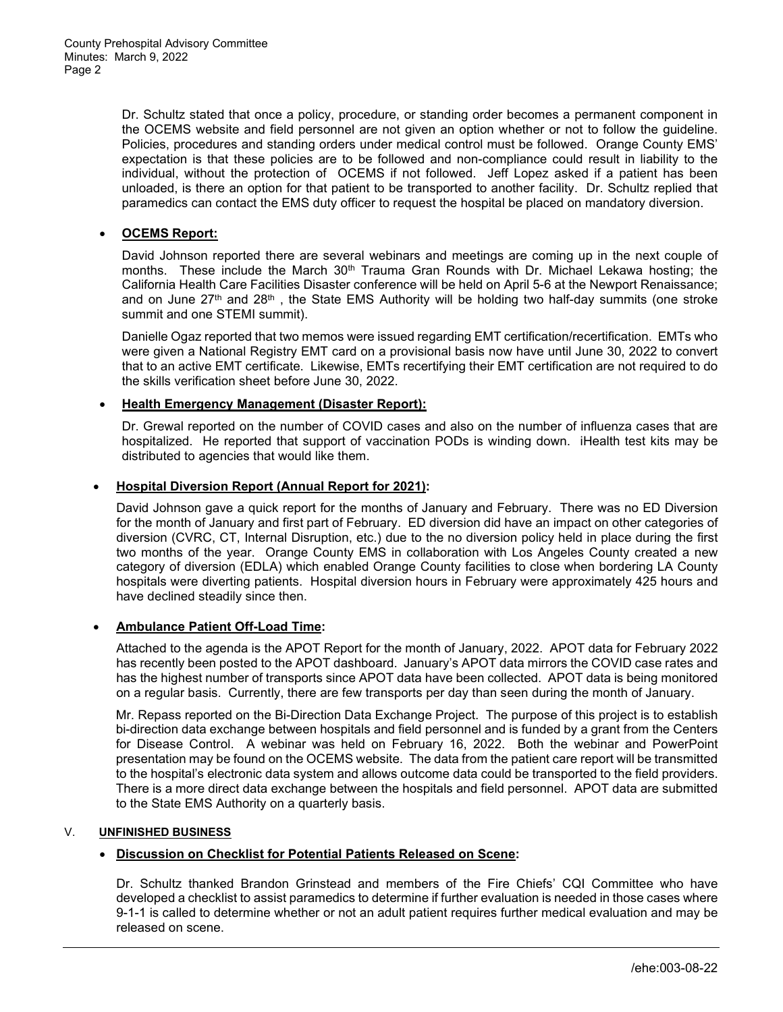Dr. Schultz stated that once a policy, procedure, or standing order becomes a permanent component in the OCEMS website and field personnel are not given an option whether or not to follow the guideline. Policies, procedures and standing orders under medical control must be followed. Orange County EMS' expectation is that these policies are to be followed and non-compliance could result in liability to the individual, without the protection of OCEMS if not followed. Jeff Lopez asked if a patient has been unloaded, is there an option for that patient to be transported to another facility. Dr. Schultz replied that paramedics can contact the EMS duty officer to request the hospital be placed on mandatory diversion.

#### • **OCEMS Report:**

David Johnson reported there are several webinars and meetings are coming up in the next couple of months. These include the March  $30<sup>th</sup>$  Trauma Gran Rounds with Dr. Michael Lekawa hosting; the California Health Care Facilities Disaster conference will be held on April 5-6 at the Newport Renaissance; and on June  $27<sup>th</sup>$  and  $28<sup>th</sup>$ , the State EMS Authority will be holding two half-day summits (one stroke summit and one STEMI summit).

Danielle Ogaz reported that two memos were issued regarding EMT certification/recertification. EMTs who were given a National Registry EMT card on a provisional basis now have until June 30, 2022 to convert that to an active EMT certificate. Likewise, EMTs recertifying their EMT certification are not required to do the skills verification sheet before June 30, 2022.

#### • **Health Emergency Management (Disaster Report):**

Dr. Grewal reported on the number of COVID cases and also on the number of influenza cases that are hospitalized. He reported that support of vaccination PODs is winding down. iHealth test kits may be distributed to agencies that would like them.

#### • **Hospital Diversion Report (Annual Report for 2021):**

David Johnson gave a quick report for the months of January and February. There was no ED Diversion for the month of January and first part of February. ED diversion did have an impact on other categories of diversion (CVRC, CT, Internal Disruption, etc.) due to the no diversion policy held in place during the first two months of the year. Orange County EMS in collaboration with Los Angeles County created a new category of diversion (EDLA) which enabled Orange County facilities to close when bordering LA County hospitals were diverting patients. Hospital diversion hours in February were approximately 425 hours and have declined steadily since then.

#### • **Ambulance Patient Off-Load Time:**

Attached to the agenda is the APOT Report for the month of January, 2022. APOT data for February 2022 has recently been posted to the APOT dashboard. January's APOT data mirrors the COVID case rates and has the highest number of transports since APOT data have been collected. APOT data is being monitored on a regular basis. Currently, there are few transports per day than seen during the month of January.

Mr. Repass reported on the Bi-Direction Data Exchange Project. The purpose of this project is to establish bi-direction data exchange between hospitals and field personnel and is funded by a grant from the Centers for Disease Control. A webinar was held on February 16, 2022. Both the webinar and PowerPoint presentation may be found on the OCEMS website. The data from the patient care report will be transmitted to the hospital's electronic data system and allows outcome data could be transported to the field providers. There is a more direct data exchange between the hospitals and field personnel. APOT data are submitted to the State EMS Authority on a quarterly basis.

#### V. **UNFINISHED BUSINESS**

#### • **Discussion on Checklist for Potential Patients Released on Scene:**

Dr. Schultz thanked Brandon Grinstead and members of the Fire Chiefs' CQI Committee who have developed a checklist to assist paramedics to determine if further evaluation is needed in those cases where 9-1-1 is called to determine whether or not an adult patient requires further medical evaluation and may be released on scene.